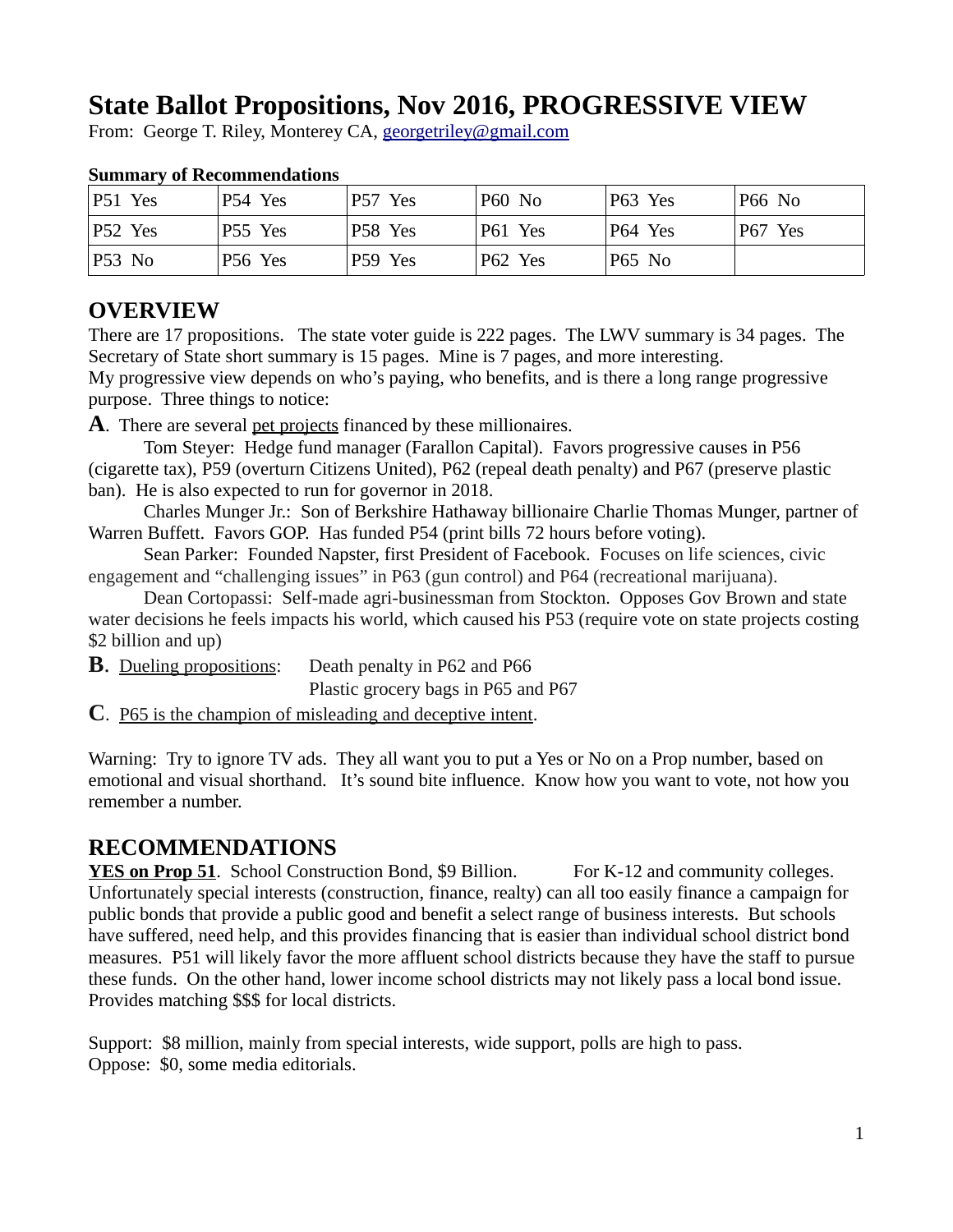# **State Ballot Propositions, Nov 2016, PROGRESSIVE VIEW**

From: George T. Riley, Monterey CA, [georgetriley@gmail.com](mailto:georgetriley@gmail.com)

| $ P51 \rangle$ Yes | P54 Yes | P57 Yes | <b>P60 No</b> | P63 Yes       | <b>P66 No</b> |
|--------------------|---------|---------|---------------|---------------|---------------|
| $ P52 \t{Yes}$     | P55 Yes | P58 Yes | P61 Yes       | P64 Yes       | P67 Yes       |
| P53 No             | P56 Yes | P59 Yes | P62 Yes       | <b>P65 No</b> |               |

#### **Summary of Recommendations**

### **OVERVIEW**

There are 17 propositions. The state voter guide is 222 pages. The LWV summary is 34 pages. The Secretary of State short summary is 15 pages. Mine is 7 pages, and more interesting. My progressive view depends on who's paying, who benefits, and is there a long range progressive purpose. Three things to notice:

**A**. There are several pet projects financed by these millionaires.

Tom Steyer: Hedge fund manager (Farallon Capital). Favors progressive causes in P56 (cigarette tax), P59 (overturn Citizens United), P62 (repeal death penalty) and P67 (preserve plastic ban). He is also expected to run for governor in 2018.

Charles Munger Jr.: Son of Berkshire Hathaway billionaire Charlie Thomas Munger, partner of Warren Buffett. Favors GOP. Has funded P54 (print bills 72 hours before voting).

Sean Parker: Founded Napster, first President of Facebook. Focuses on life sciences, civic engagement and "challenging issues" in P63 (gun control) and P64 (recreational marijuana).

Dean Cortopassi: Self-made agri-businessman from Stockton. Opposes Gov Brown and state water decisions he feels impacts his world, which caused his P53 (require vote on state projects costing \$2 billion and up)

**B.** Dueling propositions: Death penalty in P62 and P66

Plastic grocery bags in P65 and P67

**C**. P65 is the champion of misleading and deceptive intent.

Warning: Try to ignore TV ads. They all want you to put a Yes or No on a Prop number, based on emotional and visual shorthand. It's sound bite influence. Know how you want to vote, not how you remember a number.

### **RECOMMENDATIONS**

**YES on Prop 51.** School Construction Bond, \$9 Billion. For K-12 and community colleges. Unfortunately special interests (construction, finance, realty) can all too easily finance a campaign for public bonds that provide a public good and benefit a select range of business interests. But schools have suffered, need help, and this provides financing that is easier than individual school district bond measures. P51 will likely favor the more affluent school districts because they have the staff to pursue these funds. On the other hand, lower income school districts may not likely pass a local bond issue. Provides matching \$\$\$ for local districts.

Support: \$8 million, mainly from special interests, wide support, polls are high to pass. Oppose: \$0, some media editorials.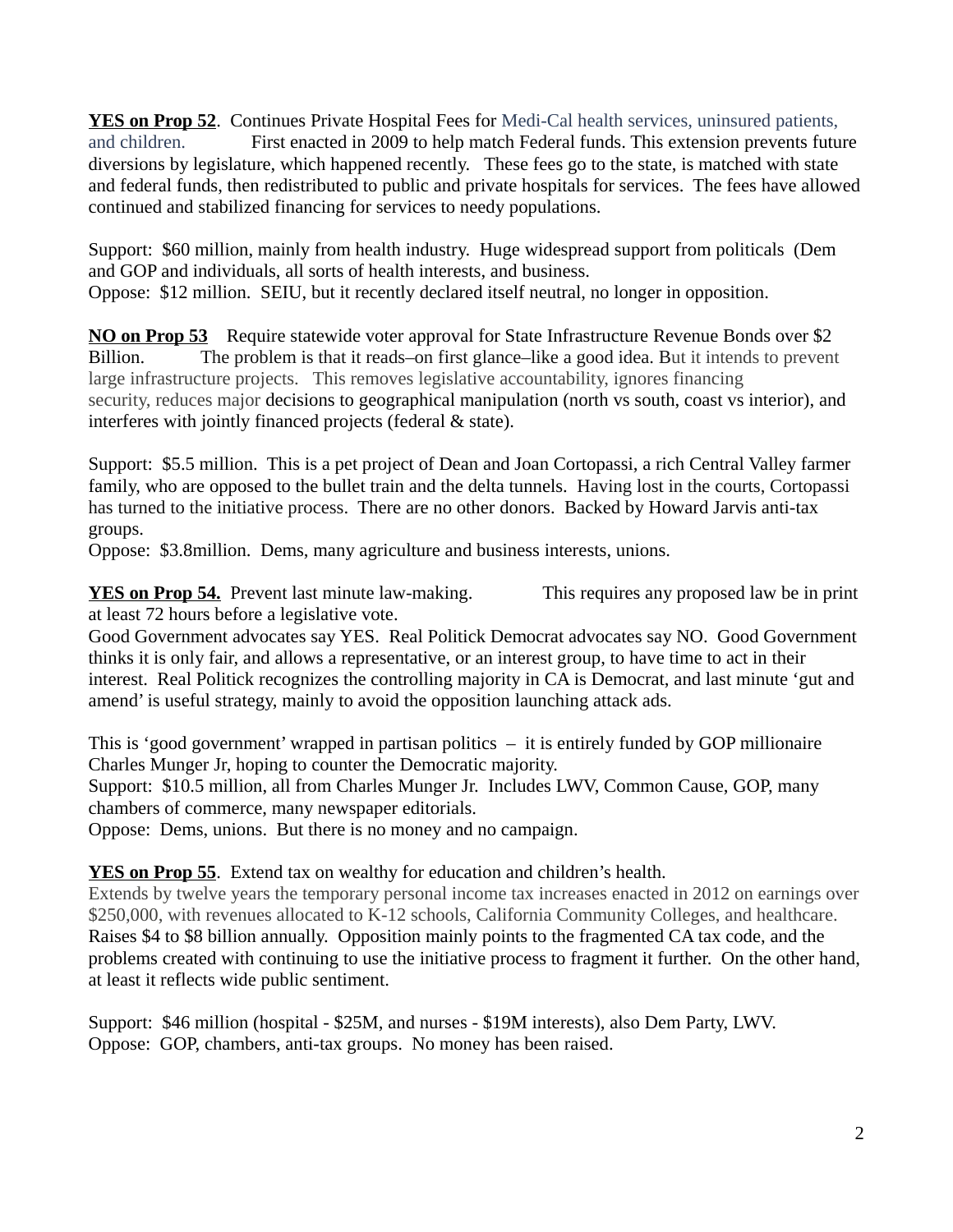**YES on Prop 52**. Continues Private Hospital Fees for Medi-Cal health services, uninsured patients, and children. First enacted in 2009 to help match Federal funds. This extension prevents future diversions by legislature, which happened recently. These fees go to the state, is matched with state and federal funds, then redistributed to public and private hospitals for services. The fees have allowed continued and stabilized financing for services to needy populations.

Support: \$60 million, mainly from health industry. Huge widespread support from politicals (Dem and GOP and individuals, all sorts of health interests, and business. Oppose: \$12 million. SEIU, but it recently declared itself neutral, no longer in opposition.

**NO on Prop 53** Require statewide voter approval for State Infrastructure Revenue Bonds over \$2 Billion. The problem is that it reads–on first glance–like a good idea. But it intends to prevent large infrastructure projects. This removes legislative accountability, ignores financing security, reduces major decisions to geographical manipulation (north vs south, coast vs interior), and interferes with jointly financed projects (federal & state).

Support: \$5.5 million. This is a pet project of Dean and Joan Cortopassi, a rich Central Valley farmer family, who are opposed to the bullet train and the delta tunnels. Having lost in the courts, Cortopassi has turned to the initiative process. There are no other donors. Backed by Howard Jarvis anti-tax groups.

Oppose: \$3.8million. Dems, many agriculture and business interests, unions.

**YES on Prop 54.** Prevent last minute law-making. This requires any proposed law be in print at least 72 hours before a legislative vote.

Good Government advocates say YES. Real Politick Democrat advocates say NO. Good Government thinks it is only fair, and allows a representative, or an interest group, to have time to act in their interest. Real Politick recognizes the controlling majority in CA is Democrat, and last minute 'gut and amend' is useful strategy, mainly to avoid the opposition launching attack ads.

This is 'good government' wrapped in partisan politics – it is entirely funded by GOP millionaire Charles Munger Jr, hoping to counter the Democratic majority.

Support: \$10.5 million, all from Charles Munger Jr. Includes LWV, Common Cause, GOP, many chambers of commerce, many newspaper editorials.

Oppose: Dems, unions. But there is no money and no campaign.

**YES on Prop 55**. Extend tax on wealthy for education and children's health.

Extends by twelve years the temporary personal income tax increases enacted in 2012 on earnings over \$250,000, with revenues allocated to K-12 schools, California Community Colleges, and healthcare. Raises \$4 to \$8 billion annually. Opposition mainly points to the fragmented CA tax code, and the problems created with continuing to use the initiative process to fragment it further. On the other hand, at least it reflects wide public sentiment.

Support: \$46 million (hospital - \$25M, and nurses - \$19M interests), also Dem Party, LWV. Oppose: GOP, chambers, anti-tax groups. No money has been raised.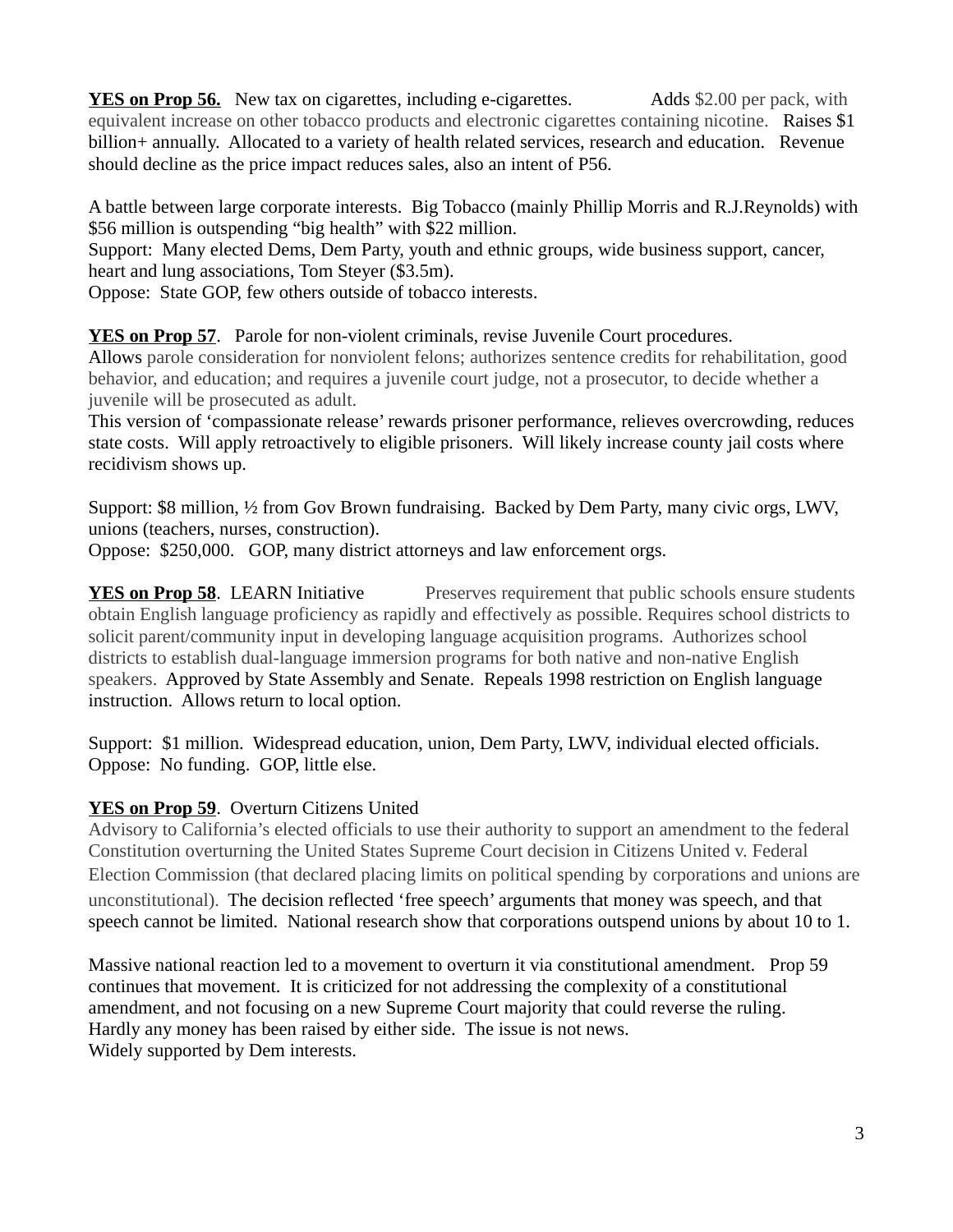**YES on Prop 56.** New tax on cigarettes, including e-cigarettes. Adds \$2.00 per pack, with equivalent increase on other tobacco products and electronic cigarettes containing nicotine. Raises \$1 billion+ annually. Allocated to a variety of health related services, research and education. Revenue should decline as the price impact reduces sales, also an intent of P56.

A battle between large corporate interests. Big Tobacco (mainly Phillip Morris and R.J.Reynolds) with \$56 million is outspending "big health" with \$22 million.

Support: Many elected Dems, Dem Party, youth and ethnic groups, wide business support, cancer, heart and lung associations, Tom Steyer (\$3.5m).

Oppose: State GOP, few others outside of tobacco interests.

**YES on Prop 57**. Parole for non-violent criminals, revise Juvenile Court procedures. Allows parole consideration for nonviolent felons; authorizes sentence credits for rehabilitation, good behavior, and education; and requires a juvenile court judge, not a prosecutor, to decide whether a juvenile will be prosecuted as adult.

This version of 'compassionate release' rewards prisoner performance, relieves overcrowding, reduces state costs. Will apply retroactively to eligible prisoners. Will likely increase county jail costs where recidivism shows up.

Support: \$8 million, ½ from Gov Brown fundraising. Backed by Dem Party, many civic orgs, LWV, unions (teachers, nurses, construction).

Oppose: \$250,000. GOP, many district attorneys and law enforcement orgs.

**YES on Prop 58.** LEARN Initiative Preserves requirement that public schools ensure students obtain English language proficiency as rapidly and effectively as possible. Requires school districts to solicit parent/community input in developing language acquisition programs. Authorizes school districts to establish dual-language immersion programs for both native and non-native English speakers. Approved by State Assembly and Senate. Repeals 1998 restriction on English language instruction. Allows return to local option.

Support: \$1 million. Widespread education, union, Dem Party, LWV, individual elected officials. Oppose: No funding. GOP, little else.

#### **YES on Prop 59**. Overturn Citizens United

Advisory to California's elected officials to use their authority to support an amendment to the federal Constitution overturning the United States Supreme Court decision in Citizens United v. Federal Election Commission (that declared placing limits on political spending by corporations and unions are unconstitutional). The decision reflected 'free speech' arguments that money was speech, and that speech cannot be limited. National research show that corporations outspend unions by about 10 to 1.

Massive national reaction led to a movement to overturn it via constitutional amendment. Prop 59 continues that movement. It is criticized for not addressing the complexity of a constitutional amendment, and not focusing on a new Supreme Court majority that could reverse the ruling. Hardly any money has been raised by either side. The issue is not news. Widely supported by Dem interests.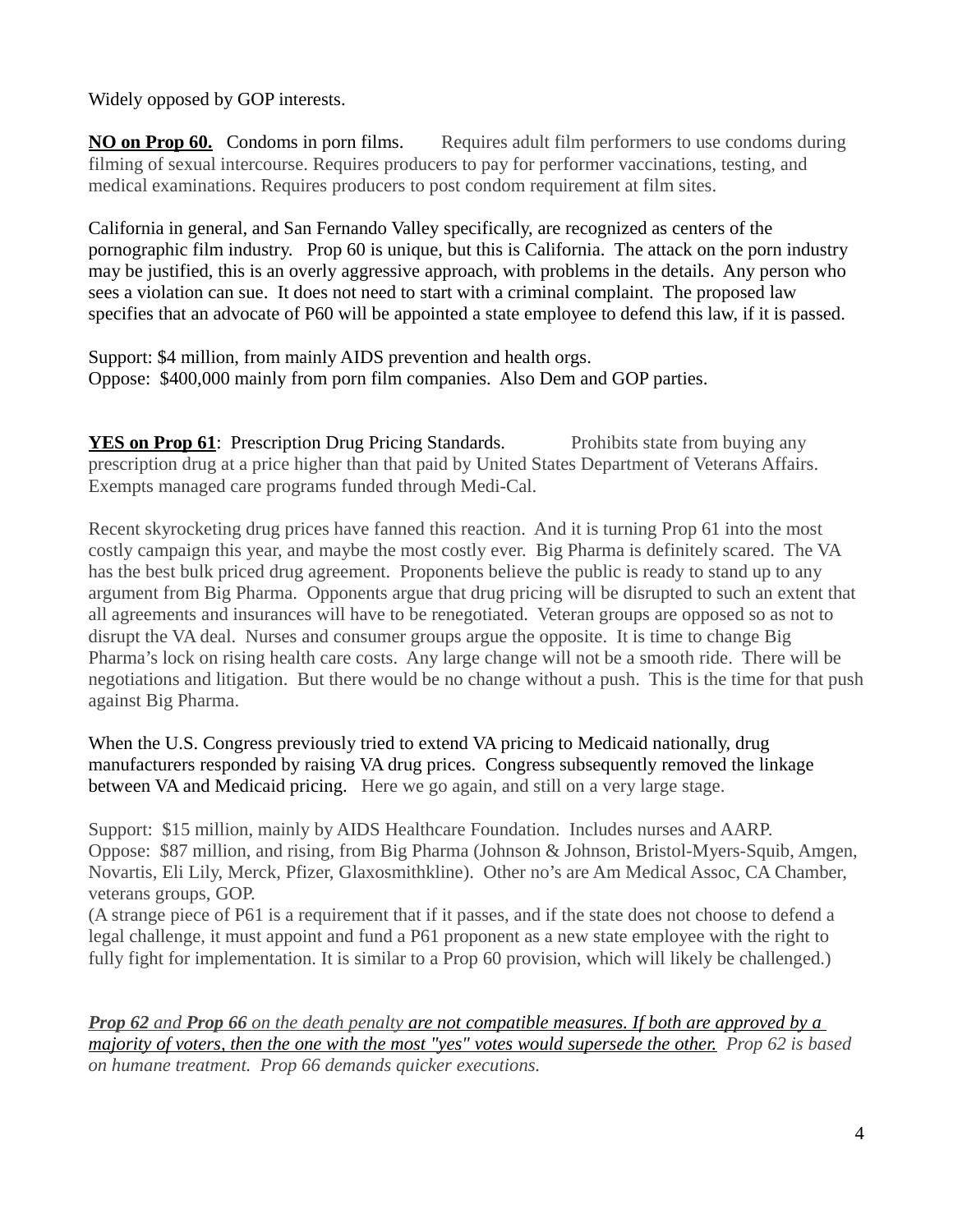Widely opposed by GOP interests.

**NO on Prop 60.** Condoms in porn films. Requires adult film performers to use condoms during filming of sexual intercourse. Requires producers to pay for performer vaccinations, testing, and medical examinations. Requires producers to post condom requirement at film sites.

California in general, and San Fernando Valley specifically, are recognized as centers of the pornographic film industry. Prop 60 is unique, but this is California. The attack on the porn industry may be justified, this is an overly aggressive approach, with problems in the details. Any person who sees a violation can sue. It does not need to start with a criminal complaint. The proposed law specifies that an advocate of P60 will be appointed a state employee to defend this law, if it is passed.

Support: \$4 million, from mainly AIDS prevention and health orgs. Oppose: \$400,000 mainly from porn film companies. Also Dem and GOP parties.

**YES on Prop 61**: Prescription Drug Pricing Standards. Prohibits state from buying any prescription drug at a price higher than that paid by United States Department of Veterans Affairs. Exempts managed care programs funded through Medi-Cal.

Recent skyrocketing drug prices have fanned this reaction. And it is turning Prop 61 into the most costly campaign this year, and maybe the most costly ever. Big Pharma is definitely scared. The VA has the best bulk priced drug agreement. Proponents believe the public is ready to stand up to any argument from Big Pharma. Opponents argue that drug pricing will be disrupted to such an extent that all agreements and insurances will have to be renegotiated. Veteran groups are opposed so as not to disrupt the VA deal. Nurses and consumer groups argue the opposite. It is time to change Big Pharma's lock on rising health care costs. Any large change will not be a smooth ride. There will be negotiations and litigation. But there would be no change without a push. This is the time for that push against Big Pharma.

When the U.S. Congress previously tried to extend VA pricing to Medicaid nationally, drug manufacturers responded by raising VA drug prices. Congress subsequently removed the linkage between VA and Medicaid pricing. Here we go again, and still on a very large stage.

Support: \$15 million, mainly by AIDS Healthcare Foundation. Includes nurses and AARP. Oppose: \$87 million, and rising, from Big Pharma (Johnson & Johnson, Bristol-Myers-Squib, Amgen, Novartis, Eli Lily, Merck, Pfizer, Glaxosmithkline). Other no's are Am Medical Assoc, CA Chamber, veterans groups, GOP.

(A strange piece of P61 is a requirement that if it passes, and if the state does not choose to defend a legal challenge, it must appoint and fund a P61 proponent as a new state employee with the right to fully fight for implementation. It is similar to a Prop 60 provision, which will likely be challenged.)

 *Prop 62 and Prop 66 on the death penalty are not compatible measures. If both are approved by a majority of voters, then the one with the most "yes" votes would supersede the other. Prop 62 is based on humane treatment. Prop 66 demands quicker executions.*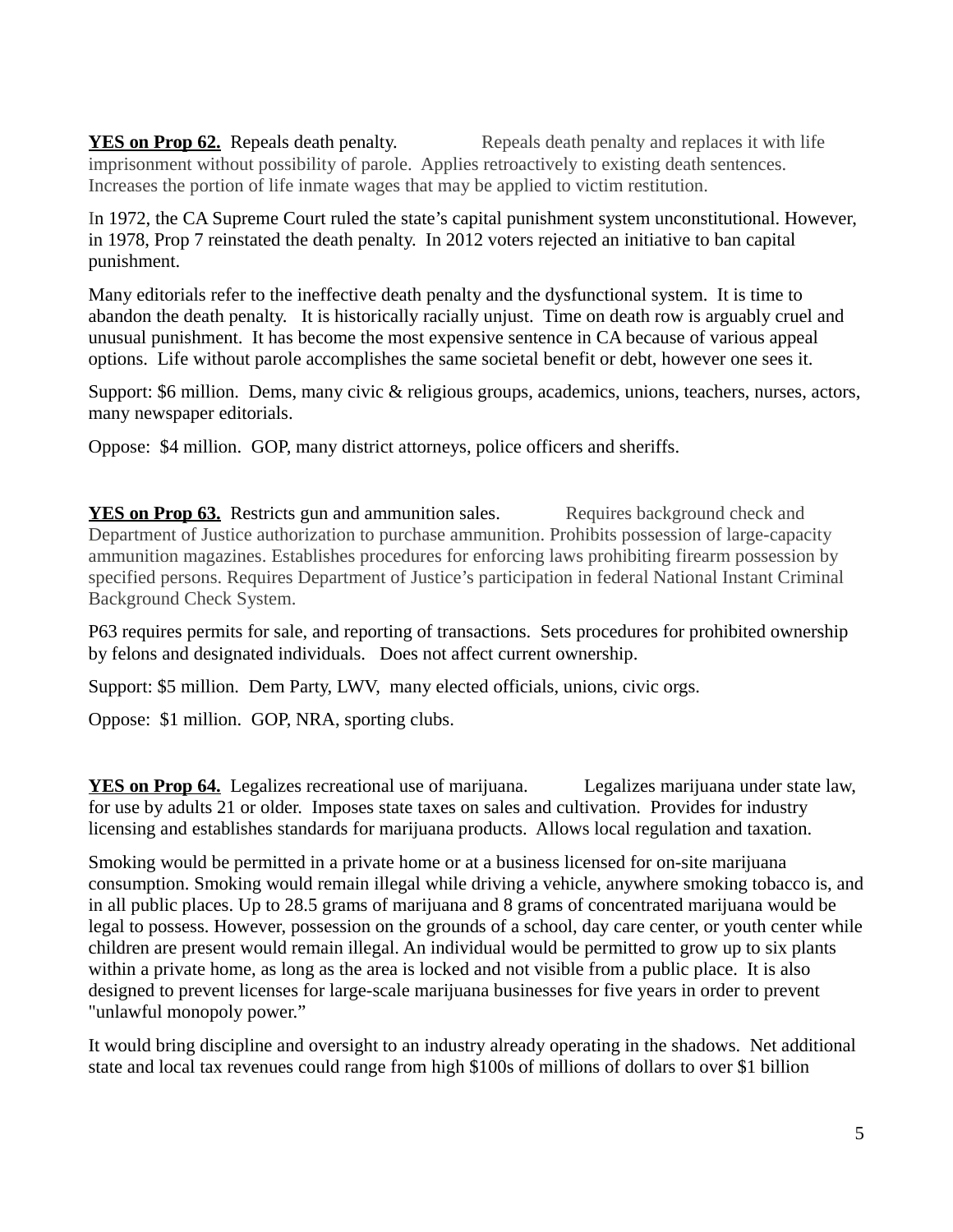**YES on Prop 62.** Repeals death penalty. Repeals death penalty and replaces it with life imprisonment without possibility of parole. Applies retroactively to existing death sentences. Increases the portion of life inmate wages that may be applied to victim restitution.

In 1972, the CA Supreme Court ruled the state's capital punishment system unconstitutional. However, in 1978, Prop 7 reinstated the death penalty. In 2012 voters rejected an initiative to ban capital punishment.

Many editorials refer to the ineffective death penalty and the dysfunctional system. It is time to abandon the death penalty. It is historically racially unjust. Time on death row is arguably cruel and unusual punishment. It has become the most expensive sentence in CA because of various appeal options. Life without parole accomplishes the same societal benefit or debt, however one sees it.

Support: \$6 million. Dems, many civic & religious groups, academics, unions, teachers, nurses, actors, many newspaper editorials.

Oppose: \$4 million. GOP, many district attorneys, police officers and sheriffs.

**YES on Prop 63.** Restricts gun and ammunition sales. Requires background check and Department of Justice authorization to purchase ammunition. Prohibits possession of large-capacity ammunition magazines. Establishes procedures for enforcing laws prohibiting firearm possession by specified persons. Requires Department of Justice's participation in federal National Instant Criminal Background Check System.

P63 requires permits for sale, and reporting of transactions. Sets procedures for prohibited ownership by felons and designated individuals. Does not affect current ownership.

Support: \$5 million. Dem Party, LWV, many elected officials, unions, civic orgs.

Oppose: \$1 million. GOP, NRA, sporting clubs.

**YES on Prop 64.** Legalizes recreational use of marijuana. Legalizes marijuana under state law, for use by adults 21 or older. Imposes state taxes on sales and cultivation. Provides for industry licensing and establishes standards for marijuana products. Allows local regulation and taxation.

Smoking would be permitted in a private home or at a business licensed for on-site marijuana consumption. Smoking would remain illegal while driving a vehicle, anywhere smoking tobacco is, and in all public places. Up to 28.5 grams of marijuana and 8 grams of concentrated marijuana would be legal to possess. However, possession on the grounds of a school, day care center, or youth center while children are present would remain illegal. An individual would be permitted to grow up to six plants within a private home, as long as the area is locked and not visible from a public place. It is also designed to prevent licenses for large-scale marijuana businesses for five years in order to prevent "unlawful monopoly power."

It would bring discipline and oversight to an industry already operating in the shadows. Net additional state and local tax revenues could range from high \$100s of millions of dollars to over \$1 billion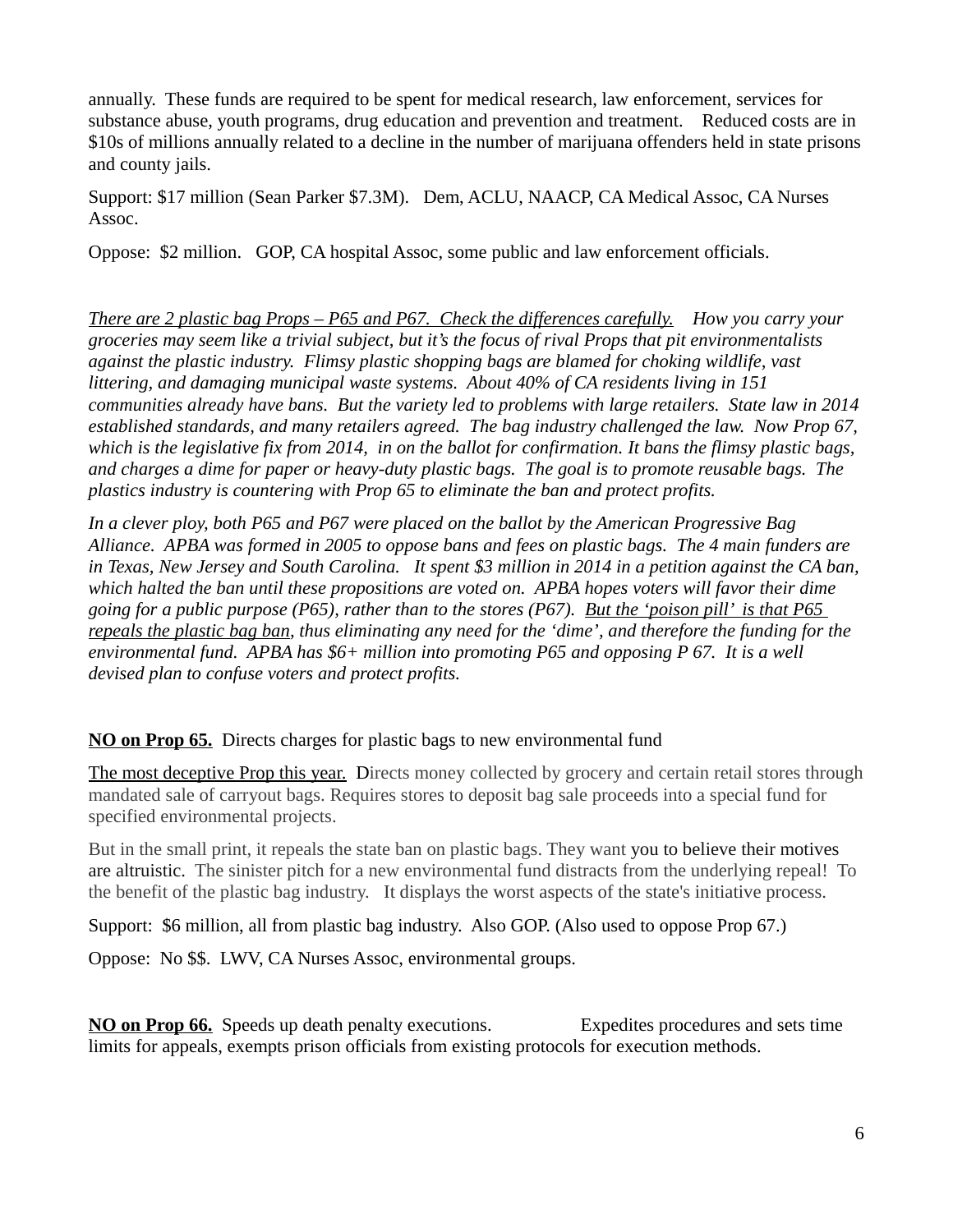annually. These funds are required to be spent for medical research, law enforcement, services for substance abuse, youth programs, drug education and prevention and treatment. Reduced costs are in \$10s of millions annually related to a decline in the number of marijuana offenders held in state prisons and county jails.

Support: \$17 million (Sean Parker \$7.3M). Dem, ACLU, NAACP, CA Medical Assoc, CA Nurses Assoc.

Oppose: \$2 million. GOP, CA hospital Assoc, some public and law enforcement officials.

*There are 2 plastic bag Props – P65 and P67. Check the differences carefully. How you carry your groceries may seem like a trivial subject, but it's the focus of rival Props that pit environmentalists against the plastic industry. Flimsy plastic shopping bags are blamed for choking wildlife, vast littering, and damaging municipal waste systems. About 40% of CA residents living in 151 communities already have bans. But the variety led to problems with large retailers. State law in 2014 established standards, and many retailers agreed. The bag industry challenged the law. Now Prop 67,* which is the legislative fix from 2014, in on the ballot for confirmation. It bans the flimsy plastic bags, *and charges a dime for paper or heavy-duty plastic bags. The goal is to promote reusable bags. The plastics industry is countering with Prop 65 to eliminate the ban and protect profits.* 

*In a clever ploy, both P65 and P67 were placed on the ballot by the American Progressive Bag Alliance. APBA was formed in 2005 to oppose bans and fees on plastic bags. The 4 main funders are in Texas, New Jersey and South Carolina. It spent \$3 million in 2014 in a petition against the CA ban, which halted the ban until these propositions are voted on. APBA hopes voters will favor their dime going for a public purpose (P65), rather than to the stores (P67). But the 'poison pill' is that P65 repeals the plastic bag ban, thus eliminating any need for the 'dime', and therefore the funding for the environmental fund. APBA has \$6+ million into promoting P65 and opposing P 67. It is a well devised plan to confuse voters and protect profits.* 

#### **NO on Prop 65.** Directs charges for plastic bags to new environmental fund

The most deceptive Prop this year. Directs money collected by grocery and certain retail stores through mandated sale of carryout bags. Requires stores to deposit bag sale proceeds into a special fund for specified environmental projects.

But in the small print, it repeals the state ban on plastic bags. They want you to believe their motives are altruistic. The sinister pitch for a new environmental fund distracts from the underlying repeal! To the benefit of the plastic bag industry. It displays the worst aspects of the state's initiative process.

Support: \$6 million, all from plastic bag industry. Also GOP. (Also used to oppose Prop 67.)

Oppose: No \$\$. LWV, CA Nurses Assoc, environmental groups.

**NO on Prop 66.** Speeds up death penalty executions. Expedites procedures and sets time limits for appeals, exempts prison officials from existing protocols for execution methods.